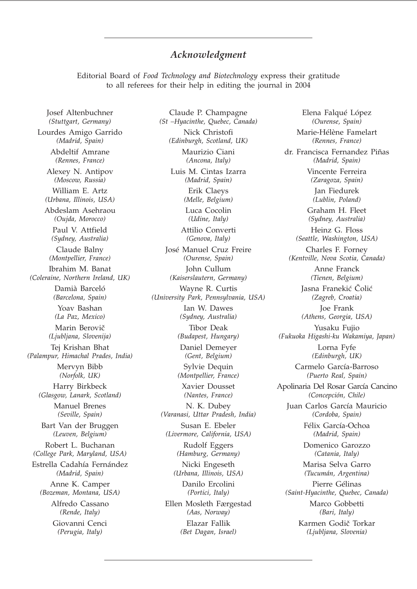## *Acknowledgment*

Editorial Board of *Food Technology and Biotechnology* express their gratitude to all referees for their help in editing the journal in 2004

Josef Altenbuchner *(Stuttgart, Germany)* Lourdes Amigo Garrido *(Madrid, Spain)* Abdeltif Amrane *(Rennes, France)* Alexey N. Antipov *(Moscow, Russia)* William E. Artz *(Urbana, Illinois, USA)* Abdeslam Asehraou *(Oujda, Morocco)* Paul V. Attfield *(Sydney, Australia)* Claude Balny *(Montpellier, France)* Ibrahim M. Banat *(Coleraine, Northern Ireland, UK)* Damià Barceló *(Barcelona, Spain)* Yoav Bashan *(La Paz, Mexico)* Marin Berovič *(Ljubljana, Slovenija)* Tej Krishan Bhat *(Palampur, Himachal Prades, India)* Mervyn Bibb *(Norfolk, UK)* Harry Birkbeck *(Glasgow, Lanark, Scotland)* Manuel Brenes *(Seville, Spain)* Bart Van der Bruggen *(Leuven, Belgium)* Robert L. Buchanan *(College Park, Maryland, USA)* Estrella Cadahía Fernández *(Madrid, Spain)* Anne K. Camper *(Bozeman, Montana, USA)* Alfredo Cassano *(Rende, Italy)* Giovanni Cenci *(Perugia, Italy)*

Claude P. Champagne *(St –Hyacinthe, Quebec, Canada)* Nick Christofi *(Edinburgh, Scotland, UK)* Maurizio Ciani *(Ancona, Italy)* Luis M. Cintas Izarra *(Madrid, Spain)* Erik Claeys *(Melle, Belgium)* Luca Cocolin *(Udine, Italy)* Attilio Converti *(Genova, Italy)* José Manuel Cruz Freire *(Ourense, Spain)* John Cullum *(Kaiserslautern, Germany)* Wayne R. Curtis *(University Park, Pennsylvania, USA)* Ian W. Dawes *(Sydney, Australia)* Tibor Deak *(Budapest, Hungary)* Daniel Demeyer *(Gent, Belgium)* Sylvie Dequin *(Montpellier, France)* Xavier Dousset *(Nantes, France)* N. K. Dubey *(Varanasi, Uttar Pradesh, India)* Susan E. Ebeler *(Livermore, California, USA)* Rudolf Eggers *(Hamburg, Germany)* Nicki Engeseth *(Urbana, Illinois, USA)* Danilo Ercolini *(Portici, Italy)* Ellen Mosleth Færgestad *(Aas, Norway)* Elazar Fallik

*(Bet Dagan, Israel)*

Elena Falqué López *(Ourense, Spain)* Marie-Hélène Famelart *(Rennes, France)* dr. Francisca Fernandez Piñas *(Madrid, Spain)* Vincente Ferreira *(Zaragoza, Spain)* Jan Fiedurek *(Lublin, Poland)* Graham H. Fleet *(Sydney, Australia)* Heinz G. Floss *(Seattle, Washington, USA)* Charles F. Forney *(Kentville, Nova Scotia, Canada)* Anne Franck *(Tienen, Belgium)* Jasna Franekić Čolić *(Zagreb, Croatia)* Joe Frank *(Athens, Georgia, USA)* Yusaku Fujio *(Fukuoka Higashi-ku Wakamiya, Japan)* Lorna Fyfe *(Edinburgh, UK)* Carmelo García-Barroso *(Puerto Real, Spain)* Apolinaria Del Rosar García Cancino *(Concepción, Chile)* Juan Carlos García Mauricio *(Cordoba, Spain)* Félix García-Ochoa *(Madrid, Spain)* Domenico Garozzo *(Catania, Italy)* Marisa Selva Garro *(Tucumán, Argentina)* Pierre Gélinas *(Saint-Hyacinthe, Quebec, Canada)* Marco Gobbetti *(Bari, Italy)* Karmen Godič Torkar *(Ljubljana, Slovenia)*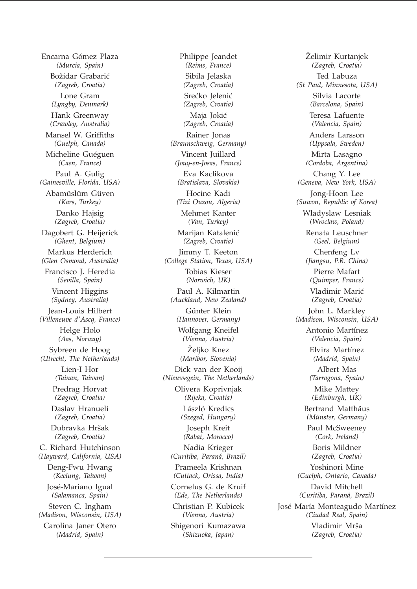Encarna Gómez Plaza *(Murcia, Spain)* Božidar Grabarić *(Zagreb, Croatia)* Lone Gram *(Lyngby, Denmark)* Hank Greenway *(Crawley, Australia)* Mansel W. Griffiths *(Guelph, Canada)* Micheline Guéguen *(Caen, France)* Paul A. Gulig *(Gainesville, Florida, USA)* Abamüslüm Güven *(Kars, Turkey)* Danko Hajsig *(Zagreb, Croatia)* Dagobert G. Heijerick *(Ghent, Belgium)* Markus Herderich *(Glen Osmond, Australia)* Francisco J. Heredia *(Sevilla, Spain)* Vincent Higgins *(Sydney, Australia)* Jean-Louis Hilbert *(Villeneuve d'Ascq, France)* Helge Holo *(Aas, Norway)* Sybreen de Hoog *(Utrecht, The Netherlands)* Lien-I Hor *(Tainan, Taiwan)* Predrag Horvat *(Zagreb, Croatia)* Daslav Hranueli *(Zagreb, Croatia)* Dubravka Hršak *(Zagreb, Croatia)* C. Richard Hutchinson *(Hayward, California, USA)* Deng-Fwu Hwang *(Keelung, Taiwan)* José-Mariano Igual *(Salamanca, Spain)* Steven C. Ingham *(Madison, Wisconsin, USA)* Carolina Janer Otero *(Madrid, Spain)*

Philippe Jeandet *(Reims, France)* Sibila Jelaska *(Zagreb, Croatia)* Srećko Jelenić *(Zagreb, Croatia)* Maja Jokić *(Zagreb, Croatia)* Rainer Jonas *(Braunschweig, Germany)* Vincent Juillard *(Jouy-en-Josas, France)* Eva Kaclikova *(Bratislava, Slovakia)* Hocine Kadi *(Tizi Ouzou, Algeria)* Mehmet Kanter *(Van, Turkey)* Marijan Katalenić *(Zagreb, Croatia)* Jimmy T. Keeton *(College Station, Texas, USA)* Tobias Kieser *(Norwich, UK)* Paul A. Kilmartin *(Auckland, New Zealand)* Günter Klein *(Hannover, Germany)* Wolfgang Kneifel *(Vienna, Austria)* Želiko Knez *(Maribor, Slovenia)* Dick van der Kooij *(Nieuwegein, The Netherlands)* Olivera Koprivnjak *(Rijeka, Croatia)* László Kredics *(Szeged, Hungary)* Joseph Kreit *(Rabat, Morocco)* Nadia Krieger *(Curitiba, Paraná, Brazil)* Prameela Krishnan *(Cuttack, Orissa, India)* Cornelus G. de Kruif *(Ede, The Netherlands)* Christian P. Kubicek *(Vienna, Austria)*

Shigenori Kumazawa *(Shizuoka, Japan)*

Želimir Kurtanjek *(Zagreb, Croatia)* Ted Labuza *(St Paul, Minnesota, USA)* Sílvia Lacorte *(Barcelona, Spain)* Teresa Lafuente *(Valencia, Spain)* Anders Larsson *(Uppsala, Sweden)* Mirta Lasagno *(Cordoba, Argentina)* Chang Y. Lee *(Geneva, New York, USA)* Jong-Hoon Lee *(Suwon, Republic of Korea)* Wladyslaw Lesniak *(Wroclaw, Poland)* Renata Leuschner *(Geel, Belgium)* Chenfeng Lv *(Jiangsu, P.R. China)* Pierre Mafart *(Quimper, France)* Vladimir Marić *(Zagreb, Croatia)* John L. Markley *(Madison, Wisconsin, USA)* Antonio Martínez *(Valencia, Spain)* Elvira Martínez *(Madrid, Spain)* Albert Mas *(Tarragona, Spain)* Mike Mattey *(Edinburgh, UK)* Bertrand Matthäus *(Münster, Germany)* Paul McSweeney *(Cork, Ireland)* Boris Mildner *(Zagreb, Croatia)* Yoshinori Mine *(Guelph, Ontario, Canada)* David Mitchell *(Curitiba, Paraná, Brazil)* José María Monteagudo Martínez *(Ciudad Real, Spain)* Vladimir Mrša *(Zagreb, Croatia)*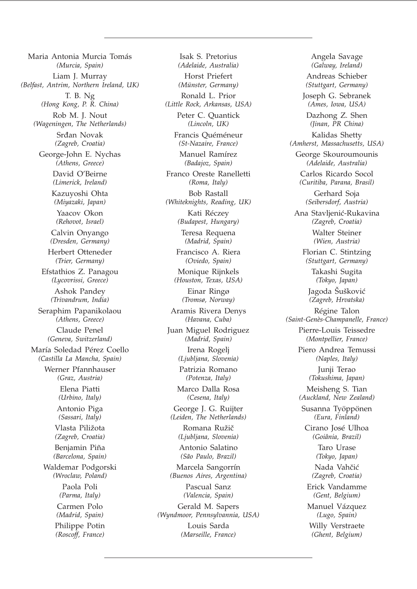Maria Antonia Murcia Tomás *(Murcia, Spain)* Liam J. Murray *(Belfast, Antrim, Northern Ireland, UK)* T. B. Ng *(Hong Kong, P. R. China)* Rob M. J. Nout *(Wageningen, The Netherlands)* Srđan Novak *(Zagreb, Croatia)* George-John E. Nychas *(Athens, Greece)* David O'Beirne *(Limerick, Ireland)* Kazuyoshi Ohta *(Miyazaki, Japan)* Yaacov Okon *(Rehovot, Israel)* Calvin Onyango *(Dresden, Germany)* Herbert Otteneder *(Trier, Germany)* Efstathios Z. Panagou *(Lycovrissi, Greece)* Ashok Pandey *(Trivandrum, India)* Seraphim Papanikolaou *(Athens, Greece)* Claude Penel *(Geneva, Switzerland)* María Soledad Pérez Coello *(Castilla La Mancha, Spain)* Werner Pfannhauser *(Graz, Austria)* Elena Piatti *(Urbino, Italy)* Antonio Piga *(Sassari, Italy)* Vlasta Piližota *(Zagreb, Croatia)* Benjamin Piña *(Barcelona, Spain)* Waldemar Podgorski *(Wroclaw, Poland)* Paola Poli *(Parma, Italy)* Carmen Polo *(Madrid, Spain)* Philippe Potin *(Roscoff, France)*

Isak S. Pretorius *(Adelaide, Australia)* Horst Priefert *(Münster, Germany)* Ronald L. Prior *(Little Rock, Arkansas, USA)* Peter C. Quantick *(Lincoln, UK)* Francis Quéméneur *(St-Nazaire, France)* Manuel Ramírez *(Badajoz, Spain)* Franco Oreste Ranelletti *(Roma, Italy)* Bob Rastall *(Whiteknights, Reading, UK)* Kati Réczey *(Budapest, Hungary)* Teresa Requena *(Madrid, Spain)* Francisco A. Riera *(Oviedo, Spain)* Monique Rijnkels *(Houston, Texas, USA)* Einar Ringø *(Tromsø, Norway)* Aramis Rivera Denys *(Havana, Cuba)* Juan Miguel Rodriguez *(Madrid, Spain)* Irena Rogelj *(Ljubljana, Slovenia)* Patrizia Romano *(Potenza, Italy)* Marco Dalla Rosa *(Cesena, Italy)* George J. G. Ruijter *(Leiden, The Netherlands)* Romana Ružič *(Ljubljana, Slovenia)* Antonio Salatino *(São Paulo, Brazil)* Marcela Sangorrín *(Buenos Aires, Argentina)* Pascual Sanz *(Valencia, Spain)* Gerald M. Sapers *(Wyndmoor, Pennsylvannia, USA)* Louis Sarda *(Marseille, France)*

Angela Savage *(Galway, Ireland)* Andreas Schieber *(Stuttgart, Germany)* Joseph G. Sebranek *(Ames, Iowa, USA)* Dazhong Z. Shen *(Jinan, PR China)* Kalidas Shetty *(Amherst, Massachusetts, USA)* George Skouroumounis *(Adelaide, Australia)* Carlos Ricardo Socol *(Curitiba, Parana, Brasil)* Gerhard Soja *(Seibersdorf, Austria)* Ana Stavljenić-Rukavina *(Zagreb, Croatia)* Walter Steiner *(Wien, Austria)* Florian C. Stintzing *(Stuttgart, Germany)* Takashi Sugita *(Tokyo, Japan)* Jagoda Šušković *(Zagreb, Hrvatska)* Régine Talon *(Saint-Genès-Champanelle, France)* Pierre-Louis Teissedre *(Montpellier, France)* Piero Andrea Temussi *(Naples, Italy)* Junji Terao *(Tokushima, Japan)* Meisheng S. Tian *(Auckland, New Zealand)* Susanna Työppönen *(Eura, Finland)* Cirano José Ulhoa *(Goiânia, Brazil)* Taro Urase *(Tokyo, Japan)* Nada Vahčić *(Zagreb, Croatia)* Erick Vandamme *(Gent, Belgium)* Manuel Vázquez *(Lugo, Spain)* Willy Verstraete *(Ghent, Belgium)*